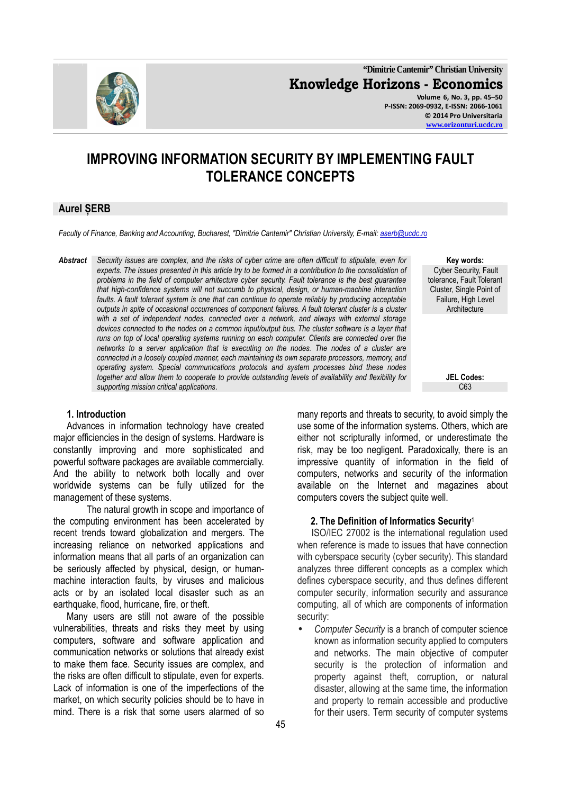

**"Dimitrie Cantemir" Christian University Knowledge Horizons - Economics Volume 6, No. 3, pp. 45–50 P-ISSN: 2069-0932, E-ISSN: 2066-1061 © 2014 Pro Universitaria** 

**www.orizonturi.ucdc.ro**

# **IMPROVING INFORMATION SECURITY BY IMPLEMENTING FAULT TOLERANCE CONCEPTS**

# **Aurel ȘERB**

*Faculty of Finance, Banking and Accounting, Bucharest, "Dimitrie Cantemir" Christian University, E-mail: aserb@ucdc.ro*

*Abstract Security issues are complex, and the risks of cyber crime are often difficult to stipulate, even for*  experts. The issues presented in this article try to be formed in a contribution to the consolidation of *problems in the field of computer arhitecture cyber security. Fault tolerance is the best guarantee that high-confidence systems will not succumb to physical, design, or human-machine interaction*  faults. A fault tolerant system is one that can continue to operate reliably by producing acceptable *outputs in spite of occasional occurrences of component failures. A fault tolerant cluster is a cluster with a set of independent nodes, connected over a network, and always with external storage*  devices connected to the nodes on a common input/output bus. The cluster software is a layer that *runs on top of local operating systems running on each computer. Clients are connected over the networks to a server application that is executing on the nodes. The nodes of a cluster are connected in a loosely coupled manner, each maintaining its own separate processors, memory, and operating system. Special communications protocols and system processes bind these nodes together and allow them to cooperate to provide outstanding levels of availability and flexibility for* supporting mission critical applications.

#### **Key words:**  Cyber Security, Fault tolerance, Fault Tolerant Cluster, Single Point of Failure, High Level **Architecture**

**JEL Codes:**

# **1. Introduction**

Advances in information technology have created major efficiencies in the design of systems. Hardware is constantly improving and more sophisticated and powerful software packages are available commercially. And the ability to network both locally and over worldwide systems can be fully utilized for the management of these systems.

 The natural growth in scope and importance of the computing environment has been accelerated by recent trends toward globalization and mergers. The increasing reliance on networked applications and information means that all parts of an organization can be seriously affected by physical, design, or humanmachine interaction faults, by viruses and malicious acts or by an isolated local disaster such as an earthquake, flood, hurricane, fire, or theft.

Many users are still not aware of the possible vulnerabilities, threats and risks they meet by using computers, software and software application and communication networks or solutions that already exist to make them face. Security issues are complex, and the risks are often difficult to stipulate, even for experts. Lack of information is one of the imperfections of the market, on which security policies should be to have in mind. There is a risk that some users alarmed of so many reports and threats to security, to avoid simply the use some of the information systems. Others, which are either not scripturally informed, or underestimate the risk, may be too negligent. Paradoxically, there is an impressive quantity of information in the field of computers, networks and security of the information available on the Internet and magazines about computers covers the subject quite well.

#### **2. The Definition of Informatics Security**<sup>1</sup>

 ISO/IEC 27002 is the international regulation used when reference is made to issues that have connection with cyberspace security (cyber security). This standard analyzes three different concepts as a complex which defines cyberspace security, and thus defines different computer security, information security and assurance computing, all of which are components of information security:

• *Computer Security* is a branch of computer science known as information security applied to computers and networks. The main objective of computer security is the protection of information and property against theft, corruption, or natural disaster, allowing at the same time, the information and property to remain accessible and productive for their users. Term security of computer systems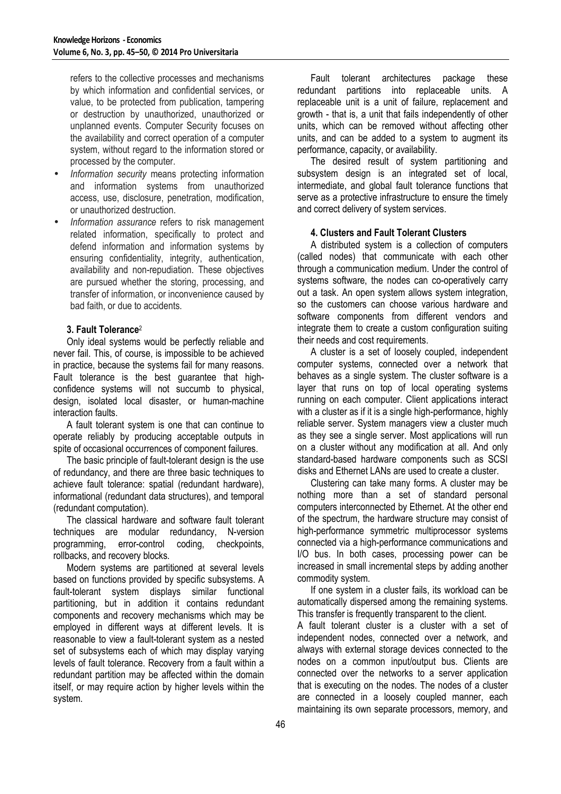refers to the collective processes and mechanisms by which information and confidential services, or value, to be protected from publication, tampering or destruction by unauthorized, unauthorized or unplanned events. Computer Security focuses on the availability and correct operation of a computer system, without regard to the information stored or processed by the computer.

- *Information security* means protecting information and information systems from unauthorized access, use, disclosure, penetration, modification, or unauthorized destruction.
- *Information assurance* refers to risk management related information, specifically to protect and defend information and information systems by ensuring confidentiality, integrity, authentication, availability and non-repudiation. These objectives are pursued whether the storing, processing, and transfer of information, or inconvenience caused by bad faith, or due to accidents.

# **3. Fault Tolerance**<sup>2</sup>

Only ideal systems would be perfectly reliable and never fail. This, of course, is impossible to be achieved in practice, because the systems fail for many reasons. Fault tolerance is the best guarantee that highconfidence systems will not succumb to physical, design, isolated local disaster, or human-machine interaction faults.

A fault tolerant system is one that can continue to operate reliably by producing acceptable outputs in spite of occasional occurrences of component failures.

The basic principle of fault-tolerant design is the use of redundancy, and there are three basic techniques to achieve fault tolerance: spatial (redundant hardware), informational (redundant data structures), and temporal (redundant computation).

The classical hardware and software fault tolerant techniques are modular redundancy, N-version programming, error-control coding, checkpoints, rollbacks, and recovery blocks.

Modern systems are partitioned at several levels based on functions provided by specific subsystems. A fault-tolerant system displays similar functional partitioning, but in addition it contains redundant components and recovery mechanisms which may be employed in different ways at different levels. It is reasonable to view a fault-tolerant system as a nested set of subsystems each of which may display varying levels of fault tolerance. Recovery from a fault within a redundant partition may be affected within the domain itself, or may require action by higher levels within the system.

Fault tolerant architectures package these redundant partitions into replaceable units. A replaceable unit is a unit of failure, replacement and growth - that is, a unit that fails independently of other units, which can be removed without affecting other units, and can be added to a system to augment its performance, capacity, or availability.

The desired result of system partitioning and subsystem design is an integrated set of local. intermediate, and global fault tolerance functions that serve as a protective infrastructure to ensure the timely and correct delivery of system services.

# **4. Clusters and Fault Tolerant Clusters**

A distributed system is a collection of computers (called nodes) that communicate with each other through a communication medium. Under the control of systems software, the nodes can co-operatively carry out a task. An open system allows system integration, so the customers can choose various hardware and software components from different vendors and integrate them to create a custom configuration suiting their needs and cost requirements.

A cluster is a set of loosely coupled, independent computer systems, connected over a network that behaves as a single system. The cluster software is a layer that runs on top of local operating systems running on each computer. Client applications interact with a cluster as if it is a single high-performance, highly reliable server. System managers view a cluster much as they see a single server. Most applications will run on a cluster without any modification at all. And only standard-based hardware components such as SCSI disks and Ethernet LANs are used to create a cluster.

Clustering can take many forms. A cluster may be nothing more than a set of standard personal computers interconnected by Ethernet. At the other end of the spectrum, the hardware structure may consist of high-performance symmetric multiprocessor systems connected via a high-performance communications and I/O bus. In both cases, processing power can be increased in small incremental steps by adding another commodity system.

If one system in a cluster fails, its workload can be automatically dispersed among the remaining systems. This transfer is frequently transparent to the client.

A fault tolerant cluster is a cluster with a set of independent nodes, connected over a network, and always with external storage devices connected to the nodes on a common input/output bus. Clients are connected over the networks to a server application that is executing on the nodes. The nodes of a cluster are connected in a loosely coupled manner, each maintaining its own separate processors, memory, and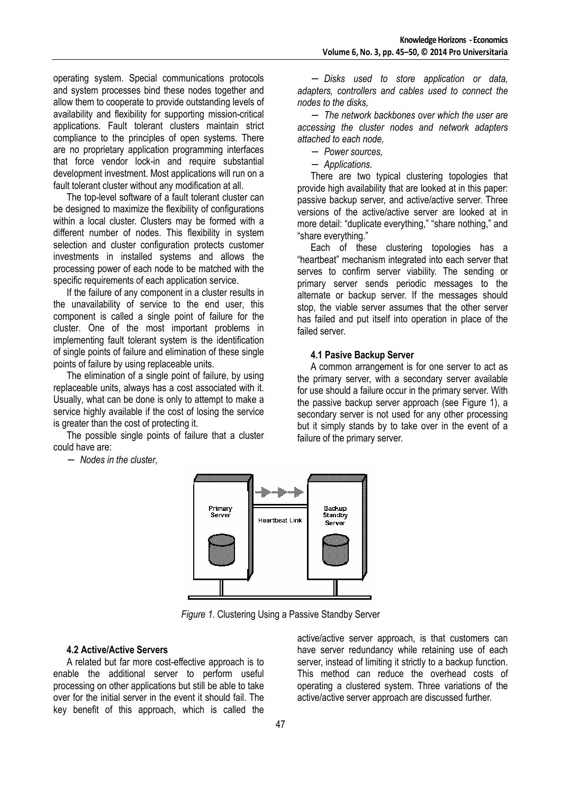operating system. Special communications protocols and system processes bind these nodes together and allow them to cooperate to provide outstanding levels of availability and flexibility for supporting mission-critical applications. Fault tolerant clusters maintain strict compliance to the principles of open systems. There are no proprietary application programming interfaces that force vendor lock-in and require substantial development investment. Most applications will run on a fault tolerant cluster without any modification at all.

The top-level software of a fault tolerant cluster can be designed to maximize the flexibility of configurations within a local cluster. Clusters may be formed with a different number of nodes. This flexibility in system selection and cluster configuration protects customer investments in installed systems and allows the processing power of each node to be matched with the specific requirements of each application service.

If the failure of any component in a cluster results in the unavailability of service to the end user, this component is called a single point of failure for the cluster. One of the most important problems in implementing fault tolerant system is the identification of single points of failure and elimination of these single points of failure by using replaceable units.

The elimination of a single point of failure, by using replaceable units, always has a cost associated with it. Usually, what can be done is only to attempt to make a service highly available if the cost of losing the service is greater than the cost of protecting it.

The possible single points of failure that a cluster could have are:

− *Nodes in the cluster,* 

− *Disks used to store application or data, adapters, controllers and cables used to connect the nodes to the disks,* 

− *The network backbones over which the user are accessing the cluster nodes and network adapters attached to each node,* 

− *Power sources,* 

− *Applications.* 

There are two typical clustering topologies that provide high availability that are looked at in this paper: passive backup server, and active/active server. Three versions of the active/active server are looked at in more detail: "duplicate everything," "share nothing," and "share everything."

Each of these clustering topologies has a "heartbeat" mechanism integrated into each server that serves to confirm server viability. The sending or primary server sends periodic messages to the alternate or backup server. If the messages should stop, the viable server assumes that the other server has failed and put itself into operation in place of the failed server.

# **4.1 Pasive Backup Server**

A common arrangement is for one server to act as the primary server, with a secondary server available for use should a failure occur in the primary server. With the passive backup server approach (see Figure 1), a secondary server is not used for any other processing but it simply stands by to take over in the event of a failure of the primary server.



*Figure 1.* Clustering Using a Passive Standby Server

# **4.2 Active/Active Servers**

A related but far more cost-effective approach is to enable the additional server to perform useful processing on other applications but still be able to take over for the initial server in the event it should fail. The key benefit of this approach, which is called the active/active server approach, is that customers can have server redundancy while retaining use of each server, instead of limiting it strictly to a backup function. This method can reduce the overhead costs of operating a clustered system. Three variations of the active/active server approach are discussed further.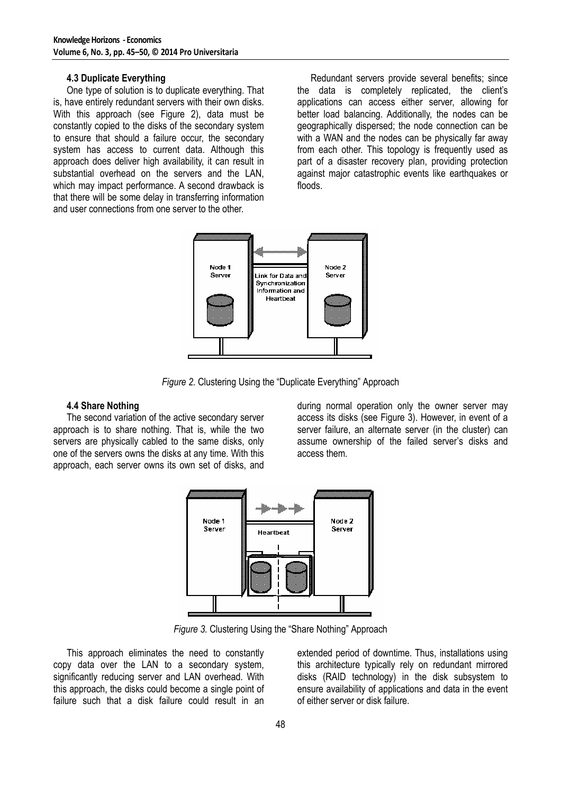# **4.3 Duplicate Everything**

One type of solution is to duplicate everything. That is, have entirely redundant servers with their own disks. With this approach (see Figure 2), data must be constantly copied to the disks of the secondary system to ensure that should a failure occur, the secondary system has access to current data. Although this approach does deliver high availability, it can result in substantial overhead on the servers and the LAN. which may impact performance. A second drawback is that there will be some delay in transferring information and user connections from one server to the other.

Redundant servers provide several benefits; since the data is completely replicated, the client's applications can access either server, allowing for better load balancing. Additionally, the nodes can be geographically dispersed; the node connection can be with a WAN and the nodes can be physically far away from each other. This topology is frequently used as part of a disaster recovery plan, providing protection against major catastrophic events like earthquakes or floods.



*Figure 2.* Clustering Using the "Duplicate Everything" Approach

#### **4.4 Share Nothing**

The second variation of the active secondary server approach is to share nothing. That is, while the two servers are physically cabled to the same disks, only one of the servers owns the disks at any time. With this approach, each server owns its own set of disks, and

during normal operation only the owner server may access its disks (see Figure 3). However, in event of a server failure, an alternate server (in the cluster) can assume ownership of the failed server's disks and access them.



*Figure 3.* Clustering Using the "Share Nothing" Approach

This approach eliminates the need to constantly copy data over the LAN to a secondary system, significantly reducing server and LAN overhead. With this approach, the disks could become a single point of failure such that a disk failure could result in an

extended period of downtime. Thus, installations using this architecture typically rely on redundant mirrored disks (RAID technology) in the disk subsystem to ensure availability of applications and data in the event of either server or disk failure.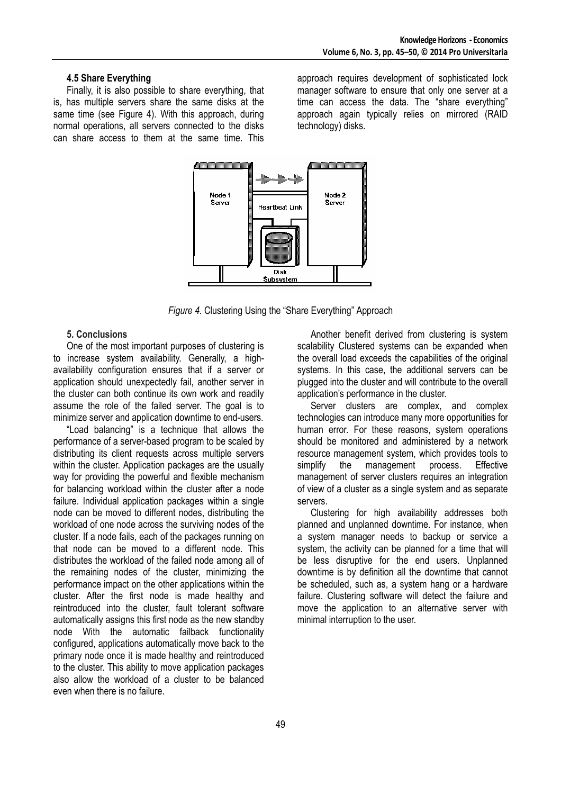#### **4.5 Share Everything**

Finally, it is also possible to share everything, that is, has multiple servers share the same disks at the same time (see Figure 4). With this approach, during normal operations, all servers connected to the disks can share access to them at the same time. This

approach requires development of sophisticated lock manager software to ensure that only one server at a time can access the data. The "share everything" approach again typically relies on mirrored (RAID technology) disks.



*Figure 4.* Clustering Using the "Share Everything" Approach

# **5. Conclusions**

One of the most important purposes of clustering is to increase system availability. Generally, a highavailability configuration ensures that if a server or application should unexpectedly fail, another server in the cluster can both continue its own work and readily assume the role of the failed server. The goal is to minimize server and application downtime to end-users.

"Load balancing" is a technique that allows the performance of a server-based program to be scaled by distributing its client requests across multiple servers within the cluster. Application packages are the usually way for providing the powerful and flexible mechanism for balancing workload within the cluster after a node failure. Individual application packages within a single node can be moved to different nodes, distributing the workload of one node across the surviving nodes of the cluster. If a node fails, each of the packages running on that node can be moved to a different node. This distributes the workload of the failed node among all of the remaining nodes of the cluster, minimizing the performance impact on the other applications within the cluster. After the first node is made healthy and reintroduced into the cluster, fault tolerant software automatically assigns this first node as the new standby node With the automatic failback functionality configured, applications automatically move back to the primary node once it is made healthy and reintroduced to the cluster. This ability to move application packages also allow the workload of a cluster to be balanced even when there is no failure.

Another benefit derived from clustering is system scalability Clustered systems can be expanded when the overall load exceeds the capabilities of the original systems. In this case, the additional servers can be plugged into the cluster and will contribute to the overall application's performance in the cluster.

Server clusters are complex, and complex technologies can introduce many more opportunities for human error. For these reasons, system operations should be monitored and administered by a network resource management system, which provides tools to simplify the management process. Effective management of server clusters requires an integration of view of a cluster as a single system and as separate servers.

Clustering for high availability addresses both planned and unplanned downtime. For instance, when a system manager needs to backup or service a system, the activity can be planned for a time that will be less disruptive for the end users. Unplanned downtime is by definition all the downtime that cannot be scheduled, such as, a system hang or a hardware failure. Clustering software will detect the failure and move the application to an alternative server with minimal interruption to the user.